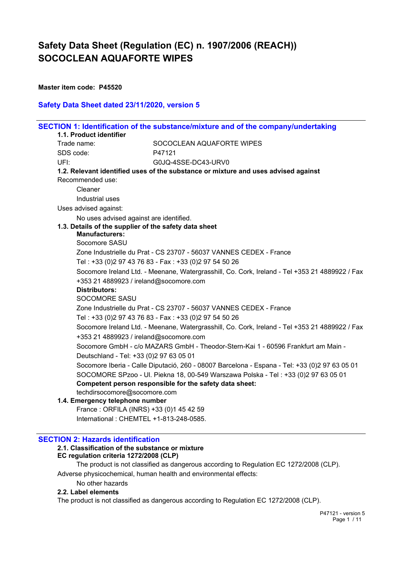**Master item code: P45520**

## **Safety Data Sheet dated 23/11/2020, version 5**

|             |                                         | SECTION 1: Identification of the substance/mixture and of the company/undertaking              |
|-------------|-----------------------------------------|------------------------------------------------------------------------------------------------|
|             | 1.1. Product identifier                 |                                                                                                |
| Trade name: |                                         | SOCOCLEAN AQUAFORTE WIPES                                                                      |
| SDS code:   |                                         | P47121                                                                                         |
| UFI:        |                                         | G0JQ-4SSE-DC43-URV0                                                                            |
|             |                                         | 1.2. Relevant identified uses of the substance or mixture and uses advised against             |
|             | Recommended use:                        |                                                                                                |
|             | Cleaner                                 |                                                                                                |
|             | Industrial uses                         |                                                                                                |
|             | Uses advised against:                   |                                                                                                |
|             | No uses advised against are identified. |                                                                                                |
|             |                                         | 1.3. Details of the supplier of the safety data sheet                                          |
|             | <b>Manufacturers:</b>                   |                                                                                                |
|             | Socomore SASU                           |                                                                                                |
|             |                                         | Zone Industrielle du Prat - CS 23707 - 56037 VANNES CEDEX - France                             |
|             |                                         | Tel: +33 (0)2 97 43 76 83 - Fax: +33 (0)2 97 54 50 26                                          |
|             |                                         | Socomore Ireland Ltd. - Meenane, Watergrasshill, Co. Cork, Ireland - Tel +353 21 4889922 / Fax |
|             | +353 21 4889923 / ireland@socomore.com  |                                                                                                |
|             | <b>Distributors:</b>                    |                                                                                                |
|             | <b>SOCOMORE SASU</b>                    |                                                                                                |
|             |                                         | Zone Industrielle du Prat - CS 23707 - 56037 VANNES CEDEX - France                             |
|             |                                         | Tel: +33 (0)2 97 43 76 83 - Fax: +33 (0)2 97 54 50 26                                          |
|             |                                         | Socomore Ireland Ltd. - Meenane, Watergrasshill, Co. Cork, Ireland - Tel +353 21 4889922 / Fax |
|             | +353 21 4889923 / ireland@socomore.com  |                                                                                                |
|             |                                         | Socomore GmbH - c/o MAZARS GmbH - Theodor-Stern-Kai 1 - 60596 Frankfurt am Main -              |
|             | Deutschland - Tel: +33 (0)2 97 63 05 01 |                                                                                                |
|             |                                         | Socomore Iberia - Calle Diputació, 260 - 08007 Barcelona - Espana - Tel: +33 (0)2 97 63 05 01  |
|             |                                         | SOCOMORE SPzoo - UI. Piekna 18, 00-549 Warszawa Polska - Tel: +33 (0)2 97 63 05 01             |
|             |                                         | Competent person responsible for the safety data sheet:                                        |
|             | techdirsocomore@socomore.com            |                                                                                                |
|             | 1.4. Emergency telephone number         |                                                                                                |
|             | France: ORFILA (INRS) +33 (0)1 45 42 59 |                                                                                                |
|             | International: CHEMTEL +1-813-248-0585. |                                                                                                |
|             |                                         |                                                                                                |

## **SECTION 2: Hazards identification**

## **2.1. Classification of the substance or mixture**

## **EC regulation criteria 1272/2008 (CLP)**

The product is not classified as dangerous according to Regulation EC 1272/2008 (CLP). Adverse physicochemical, human health and environmental effects:

## No other hazards

## **2.2. Label elements**

The product is not classified as dangerous according to Regulation EC 1272/2008 (CLP).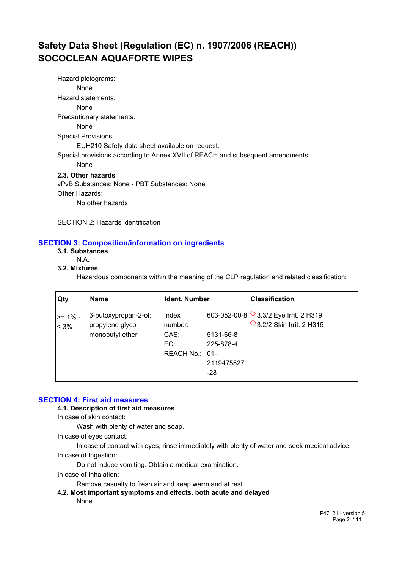Hazard pictograms: None Hazard statements: None Precautionary statements: None Special Provisions: EUH210 Safety data sheet available on request. Special provisions according to Annex XVII of REACH and subsequent amendments: None **2.3. Other hazards** vPvB Substances: None - PBT Substances: None Other Hazards:

No other hazards

SECTION 2: Hazards identification

## **SECTION 3: Composition/information on ingredients**

- **3.1. Substances**
	- N.A.
- **3.2. Mixtures**

Hazardous components within the meaning of the CLP regulation and related classification:

| Qty              | <b>Name</b>                                                 | <b>Ident. Number</b>                              |                                             | <b>Classification</b>                                                    |
|------------------|-------------------------------------------------------------|---------------------------------------------------|---------------------------------------------|--------------------------------------------------------------------------|
| >= 1% -<br>$3\%$ | 3-butoxypropan-2-ol;<br>propylene glycol<br>monobutyl ether | Index<br>number:<br>CAS:<br>EC:<br>REACH No.: 01- | 5131-66-8<br>225-878-4<br>2119475527<br>-28 | 603-052-00-8 3.3/2 Eye Irrit. 2 H319<br><b>13.2/2 Skin Irrit. 2 H315</b> |

## **SECTION 4: First aid measures**

#### **4.1. Description of first aid measures**

In case of skin contact:

Wash with plenty of water and soap.

In case of eyes contact:

In case of contact with eyes, rinse immediately with plenty of water and seek medical advice.

In case of Ingestion:

Do not induce vomiting. Obtain a medical examination.

In case of Inhalation:

Remove casualty to fresh air and keep warm and at rest.

**4.2. Most important symptoms and effects, both acute and delayed** None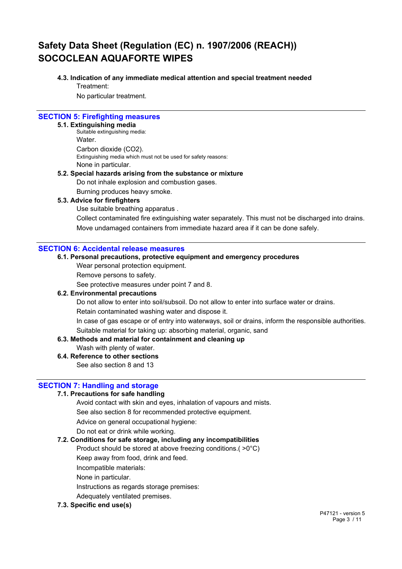## **4.3. Indication of any immediate medical attention and special treatment needed**

Treatment:

No particular treatment.

### **SECTION 5: Firefighting measures**

#### **5.1. Extinguishing media**

Suitable extinguishing media: **Water** Carbon dioxide (CO2). Extinguishing media which must not be used for safety reasons: None in particular.

## **5.2. Special hazards arising from the substance or mixture** Do not inhale explosion and combustion gases.

Burning produces heavy smoke.

## **5.3. Advice for firefighters**

Use suitable breathing apparatus .

Collect contaminated fire extinguishing water separately. This must not be discharged into drains. Move undamaged containers from immediate hazard area if it can be done safely.

## **SECTION 6: Accidental release measures**

## **6.1. Personal precautions, protective equipment and emergency procedures**

Wear personal protection equipment.

Remove persons to safety.

See protective measures under point 7 and 8.

## **6.2. Environmental precautions**

Do not allow to enter into soil/subsoil. Do not allow to enter into surface water or drains.

Retain contaminated washing water and dispose it.

In case of gas escape or of entry into waterways, soil or drains, inform the responsible authorities. Suitable material for taking up: absorbing material, organic, sand

## **6.3. Methods and material for containment and cleaning up**

Wash with plenty of water.

## **6.4. Reference to other sections**

See also section 8 and 13

## **SECTION 7: Handling and storage**

## **7.1. Precautions for safe handling**

Avoid contact with skin and eyes, inhalation of vapours and mists.

See also section 8 for recommended protective equipment.

Advice on general occupational hygiene:

Do not eat or drink while working.

## **7.2. Conditions for safe storage, including any incompatibilities**

Product should be stored at above freezing conditions.( >0°C)

Keep away from food, drink and feed.

Incompatible materials:

None in particular.

Instructions as regards storage premises:

Adequately ventilated premises.

## **7.3. Specific end use(s)**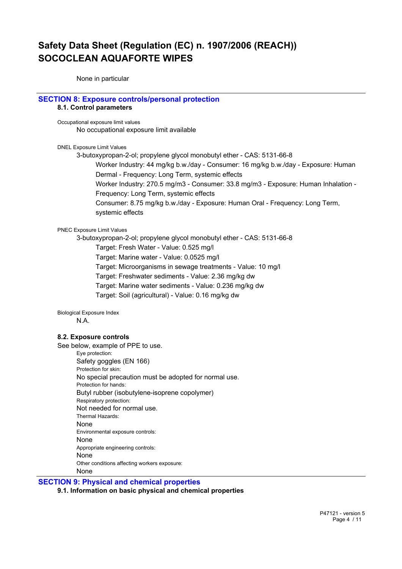None in particular

## **SECTION 8: Exposure controls/personal protection**

## **8.1. Control parameters**

Occupational exposure limit values No occupational exposure limit available

DNEL Exposure Limit Values

3-butoxypropan-2-ol; propylene glycol monobutyl ether - CAS: 5131-66-8

Worker Industry: 44 mg/kg b.w./day - Consumer: 16 mg/kg b.w./day - Exposure: Human Dermal - Frequency: Long Term, systemic effects

Worker Industry: 270.5 mg/m3 - Consumer: 33.8 mg/m3 - Exposure: Human Inhalation - Frequency: Long Term, systemic effects

Consumer: 8.75 mg/kg b.w./day - Exposure: Human Oral - Frequency: Long Term, systemic effects

PNEC Exposure Limit Values

3-butoxypropan-2-ol; propylene glycol monobutyl ether - CAS: 5131-66-8

Target: Fresh Water - Value: 0.525 mg/l

Target: Marine water - Value: 0.0525 mg/l

Target: Microorganisms in sewage treatments - Value: 10 mg/l

Target: Freshwater sediments - Value: 2.36 mg/kg dw

Target: Marine water sediments - Value: 0.236 mg/kg dw

Target: Soil (agricultural) - Value: 0.16 mg/kg dw

Biological Exposure Index N.A.

#### **8.2. Exposure controls**

See below, example of PPE to use. Eye protection: Safety goggles (EN 166) Protection for skin: No special precaution must be adopted for normal use. Protection for hands: Butyl rubber (isobutylene-isoprene copolymer) Respiratory protection: Not needed for normal use. Thermal Hazards: None Environmental exposure controls: None Appropriate engineering controls: None Other conditions affecting workers exposure: None

**SECTION 9: Physical and chemical properties**

**9.1. Information on basic physical and chemical properties**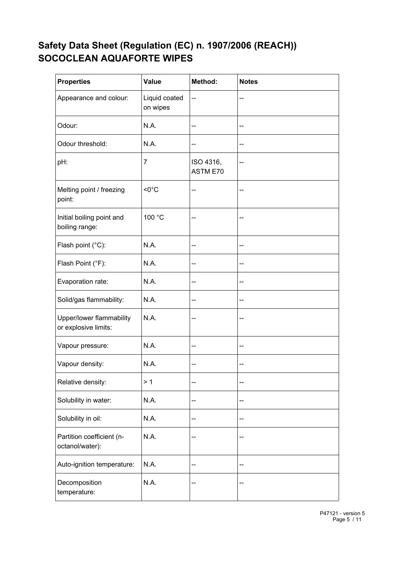| <b>Properties</b>                                | Value                     | Method:               | <b>Notes</b> |
|--------------------------------------------------|---------------------------|-----------------------|--------------|
| Appearance and colour:                           | Liquid coated<br>on wipes | --                    |              |
| Odour:                                           | N.A.                      | --                    | --           |
| Odour threshold:                                 | N.A.                      | --                    | --           |
| pH:                                              | $\overline{7}$            | ISO 4316,<br>ASTM E70 | --           |
| Melting point / freezing<br>point:               | $<0^{\circ}$ C            | --                    | --           |
| Initial boiling point and<br>boiling range:      | 100 °C                    | --                    | --           |
| Flash point (°C):                                | N.A.                      | --                    | --           |
| Flash Point (°F):                                | N.A.                      | --                    | --           |
| Evaporation rate:                                | N.A.                      | --                    | --           |
| Solid/gas flammability:                          | N.A.                      | --                    | --           |
| Upper/lower flammability<br>or explosive limits: | N.A.                      | --                    | --           |
| Vapour pressure:                                 | N.A.                      | --                    |              |
| Vapour density:                                  | N.A.                      | --                    | --           |
| Relative density:                                | > 1                       | --                    | --           |
| Solubility in water:                             | N.A.                      | --                    | --           |
| Solubility in oil:                               | N.A.                      | --                    | --           |
| Partition coefficient (n-<br>octanol/water):     | N.A.                      | --                    | --           |
| Auto-ignition temperature:                       | N.A.                      | --                    | --           |
| Decomposition<br>temperature:                    | N.A.                      | --                    | --           |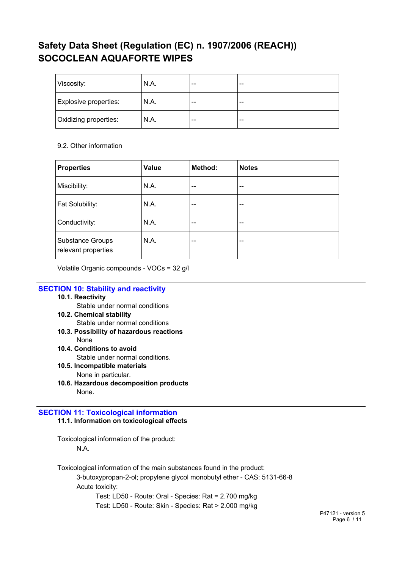| Viscosity:            | N.A. | --    | -- |
|-----------------------|------|-------|----|
| Explosive properties: | N.A. | $- -$ | -- |
| Oxidizing properties: | N.A. | $- -$ | -- |

## 9.2. Other information

| <b>Properties</b>                              | Value | Method: | <b>Notes</b> |
|------------------------------------------------|-------|---------|--------------|
| Miscibility:                                   | N.A.  | --      | $- -$        |
| Fat Solubility:                                | N.A.  | --      | --           |
| Conductivity:                                  | N.A.  | $- -$   | --           |
| <b>Substance Groups</b><br>relevant properties | N.A.  | --      | --           |

Volatile Organic compounds - VOCs = 32 g/l

## **SECTION 10: Stability and reactivity**

## **10.1. Reactivity**

Stable under normal conditions

- **10.2. Chemical stability** Stable under normal conditions
- **10.3. Possibility of hazardous reactions** None
- **10.4. Conditions to avoid**

Stable under normal conditions.

- **10.5. Incompatible materials** None in particular.
- **10.6. Hazardous decomposition products** None.

## **SECTION 11: Toxicological information 11.1. Information on toxicological effects**

Toxicological information of the product: N.A.

Toxicological information of the main substances found in the product: 3-butoxypropan-2-ol; propylene glycol monobutyl ether - CAS: 5131-66-8

Acute toxicity:

Test: LD50 - Route: Oral - Species: Rat = 2.700 mg/kg

Test: LD50 - Route: Skin - Species: Rat > 2.000 mg/kg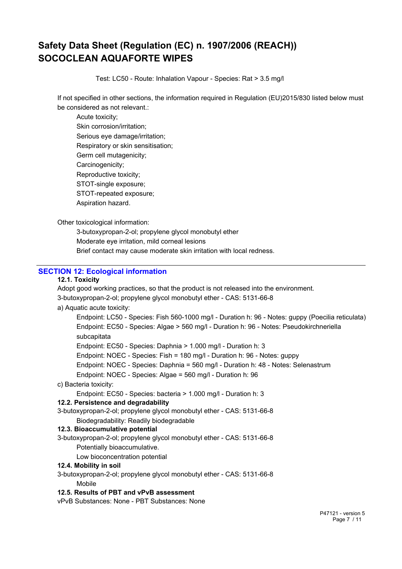Test: LC50 - Route: Inhalation Vapour - Species: Rat > 3.5 mg/l

If not specified in other sections, the information required in Regulation (EU)2015/830 listed below must be considered as not relevant.:

Acute toxicity; Skin corrosion/irritation; Serious eye damage/irritation; Respiratory or skin sensitisation; Germ cell mutagenicity; Carcinogenicity; Reproductive toxicity; STOT-single exposure; STOT-repeated exposure; Aspiration hazard.

Other toxicological information:

3-butoxypropan-2-ol; propylene glycol monobutyl ether Moderate eye irritation, mild corneal lesions Brief contact may cause moderate skin irritation with local redness.

## **SECTION 12: Ecological information**

### **12.1. Toxicity**

Adopt good working practices, so that the product is not released into the environment. 3-butoxypropan-2-ol; propylene glycol monobutyl ether - CAS: 5131-66-8

#### a) Aquatic acute toxicity:

Endpoint: LC50 - Species: Fish 560-1000 mg/l - Duration h: 96 - Notes: guppy (Poecilia reticulata) Endpoint: EC50 - Species: Algae > 560 mg/l - Duration h: 96 - Notes: Pseudokirchneriella subcapitata

Endpoint: EC50 - Species: Daphnia > 1.000 mg/l - Duration h: 3

Endpoint: NOEC - Species: Fish = 180 mg/l - Duration h: 96 - Notes: guppy

Endpoint: NOEC - Species: Daphnia = 560 mg/l - Duration h: 48 - Notes: Selenastrum

Endpoint: NOEC - Species: Algae = 560 mg/l - Duration h: 96

c) Bacteria toxicity:

Endpoint: EC50 - Species: bacteria > 1.000 mg/l - Duration h: 3

#### **12.2. Persistence and degradability**

3-butoxypropan-2-ol; propylene glycol monobutyl ether - CAS: 5131-66-8 Biodegradability: Readily biodegradable

#### **12.3. Bioaccumulative potential**

3-butoxypropan-2-ol; propylene glycol monobutyl ether - CAS: 5131-66-8 Potentially bioaccumulative.

Low bioconcentration potential

## **12.4. Mobility in soil**

3-butoxypropan-2-ol; propylene glycol monobutyl ether - CAS: 5131-66-8

#### Mobile

#### **12.5. Results of PBT and vPvB assessment**

vPvB Substances: None - PBT Substances: None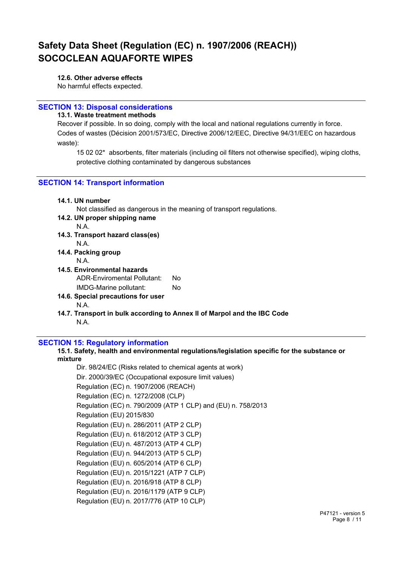#### **12.6. Other adverse effects**

No harmful effects expected.

## **SECTION 13: Disposal considerations**

**13.1. Waste treatment methods**

Recover if possible. In so doing, comply with the local and national regulations currently in force. Codes of wastes (Décision 2001/573/EC, Directive 2006/12/EEC, Directive 94/31/EEC on hazardous waste):

15 02 02\* absorbents, filter materials (including oil filters not otherwise specified), wiping cloths, protective clothing contaminated by dangerous substances

## **SECTION 14: Transport information**

|  | 14.1. UN number |
|--|-----------------|
|--|-----------------|

Not classified as dangerous in the meaning of transport regulations.

**14.2. UN proper shipping name**

N.A.

- **14.3. Transport hazard class(es)** 
	- N.A.
- **14.4. Packing group**
	- N.A.
- **14.5. Environmental hazards** ADR-Enviromental Pollutant: No IMDG-Marine pollutant: No
- **14.6. Special precautions for user** N.A.
- **14.7. Transport in bulk according to Annex II of Marpol and the IBC Code** N.A.

## **SECTION 15: Regulatory information**

**15.1. Safety, health and environmental regulations/legislation specific for the substance or mixture**

Dir. 98/24/EC (Risks related to chemical agents at work) Dir. 2000/39/EC (Occupational exposure limit values) Regulation (EC) n. 1907/2006 (REACH) Regulation (EC) n. 1272/2008 (CLP) Regulation (EC) n. 790/2009 (ATP 1 CLP) and (EU) n. 758/2013 Regulation (EU) 2015/830 Regulation (EU) n. 286/2011 (ATP 2 CLP) Regulation (EU) n. 618/2012 (ATP 3 CLP) Regulation (EU) n. 487/2013 (ATP 4 CLP) Regulation (EU) n. 944/2013 (ATP 5 CLP) Regulation (EU) n. 605/2014 (ATP 6 CLP) Regulation (EU) n. 2015/1221 (ATP 7 CLP) Regulation (EU) n. 2016/918 (ATP 8 CLP) Regulation (EU) n. 2016/1179 (ATP 9 CLP) Regulation (EU) n. 2017/776 (ATP 10 CLP)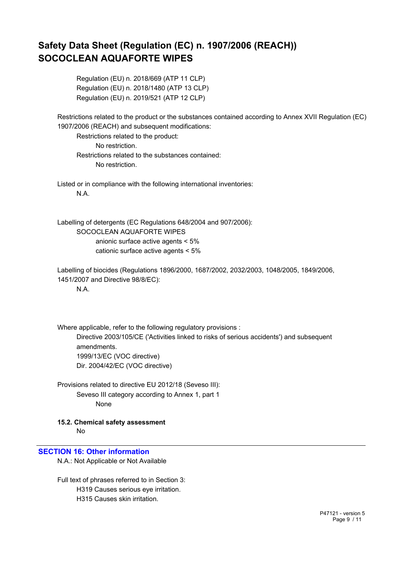Regulation (EU) n. 2018/669 (ATP 11 CLP) Regulation (EU) n. 2018/1480 (ATP 13 CLP) Regulation (EU) n. 2019/521 (ATP 12 CLP)

Restrictions related to the product or the substances contained according to Annex XVII Regulation (EC) 1907/2006 (REACH) and subsequent modifications:

Restrictions related to the product: No restriction. Restrictions related to the substances contained: No restriction.

Listed or in compliance with the following international inventories: N.A.

Labelling of detergents (EC Regulations 648/2004 and 907/2006): SOCOCLEAN AQUAFORTE WIPES anionic surface active agents < 5% cationic surface active agents < 5%

Labelling of biocides (Regulations 1896/2000, 1687/2002, 2032/2003, 1048/2005, 1849/2006, 1451/2007 and Directive 98/8/EC):

N.A.

Where applicable, refer to the following regulatory provisions : Directive 2003/105/CE ('Activities linked to risks of serious accidents') and subsequent amendments. 1999/13/EC (VOC directive) Dir. 2004/42/EC (VOC directive)

Provisions related to directive EU 2012/18 (Seveso III): Seveso III category according to Annex 1, part 1 None

**15.2. Chemical safety assessment** No

## **SECTION 16: Other information**

N.A.: Not Applicable or Not Available

Full text of phrases referred to in Section 3: H319 Causes serious eye irritation. H315 Causes skin irritation.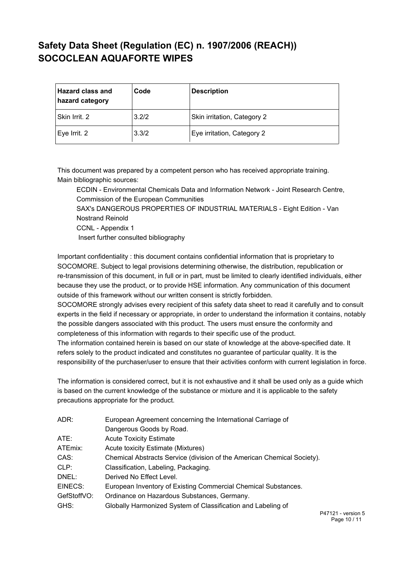| <b>Hazard class and</b><br>hazard category | Code  | <b>Description</b>          |
|--------------------------------------------|-------|-----------------------------|
| Skin Irrit. 2                              | 3.2/2 | Skin irritation, Category 2 |
| Eye Irrit. 2                               | 3.3/2 | Eye irritation, Category 2  |

This document was prepared by a competent person who has received appropriate training. Main bibliographic sources:

ECDIN - Environmental Chemicals Data and Information Network - Joint Research Centre, Commission of the European Communities

SAX's DANGEROUS PROPERTIES OF INDUSTRIAL MATERIALS - Eight Edition - Van Nostrand Reinold

CCNL - Appendix 1

Insert further consulted bibliography

Important confidentiality : this document contains confidential information that is proprietary to SOCOMORE. Subject to legal provisions determining otherwise, the distribution, republication or re-transmission of this document, in full or in part, must be limited to clearly identified individuals, either because they use the product, or to provide HSE information. Any communication of this document outside of this framework without our written consent is strictly forbidden.

SOCOMORE strongly advises every recipient of this safety data sheet to read it carefully and to consult experts in the field if necessary or appropriate, in order to understand the information it contains, notably the possible dangers associated with this product. The users must ensure the conformity and completeness of this information with regards to their specific use of the product.

The information contained herein is based on our state of knowledge at the above-specified date. It refers solely to the product indicated and constitutes no guarantee of particular quality. It is the responsibility of the purchaser/user to ensure that their activities conform with current legislation in force.

The information is considered correct, but it is not exhaustive and it shall be used only as a guide which is based on the current knowledge of the substance or mixture and it is applicable to the safety precautions appropriate for the product.

| ADR:        | European Agreement concerning the International Carriage of             |     |  |
|-------------|-------------------------------------------------------------------------|-----|--|
|             | Dangerous Goods by Road.                                                |     |  |
| ATE:        | <b>Acute Toxicity Estimate</b>                                          |     |  |
| ATEmix:     | Acute toxicity Estimate (Mixtures)                                      |     |  |
| CAS:        | Chemical Abstracts Service (division of the American Chemical Society). |     |  |
| CLP:        | Classification, Labeling, Packaging.                                    |     |  |
| DNEL:       | Derived No Effect Level.                                                |     |  |
| EINECS:     | European Inventory of Existing Commercial Chemical Substances.          |     |  |
| GefStoffVO: | Ordinance on Hazardous Substances, Germany.                             |     |  |
| GHS:        | Globally Harmonized System of Classification and Labeling of            |     |  |
|             |                                                                         | - - |  |